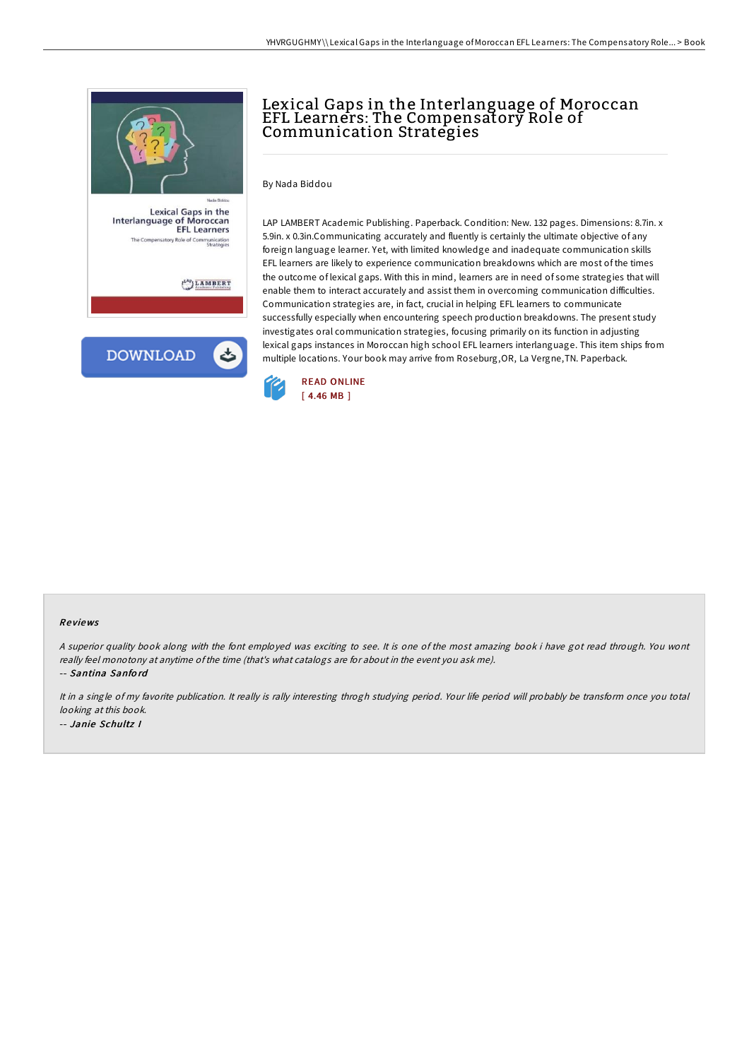

Lexical Gaps in the<br>Interlanguage of Moroccan<br>EFL Learners Role of Co nunication<br>Strategies

 $\binom{LAP}{l}$  LAMBERT



## Lexical Gaps in the Interlanguage of Moroccan EFL Learners: The Compensatory Role of Communication Strategies

By Nada Biddou

LAP LAMBERT Academic Publishing. Paperback. Condition: New. 132 pages. Dimensions: 8.7in. x 5.9in. x 0.3in.Communicating accurately and fluently is certainly the ultimate objective of any foreign language learner. Yet, with limited knowledge and inadequate communication skills EFL learners are likely to experience communication breakdowns which are most of the times the outcome of lexical gaps. With this in mind, learners are in need of some strategies that will enable them to interact accurately and assist them in overcoming communication difficulties. Communication strategies are, in fact, crucial in helping EFL learners to communicate successfully especially when encountering speech production breakdowns. The present study investigates oral communication strategies, focusing primarily on its function in adjusting lexical gaps instances in Moroccan high school EFL learners interlanguage. This item ships from multiple locations. Your book may arrive from Roseburg,OR, La Vergne,TN. Paperback.



## Re views

<sup>A</sup> superior quality book along with the font employed was exciting to see. It is one of the most amazing book i have got read through. You wont really feel monotony at anytime ofthe time (that's what catalogs are for about in the event you ask me).

-- Santina Sanfo rd

It in <sup>a</sup> single of my favorite publication. It really is rally interesting throgh studying period. Your life period will probably be transform once you total looking at this book. -- Janie Schultz I